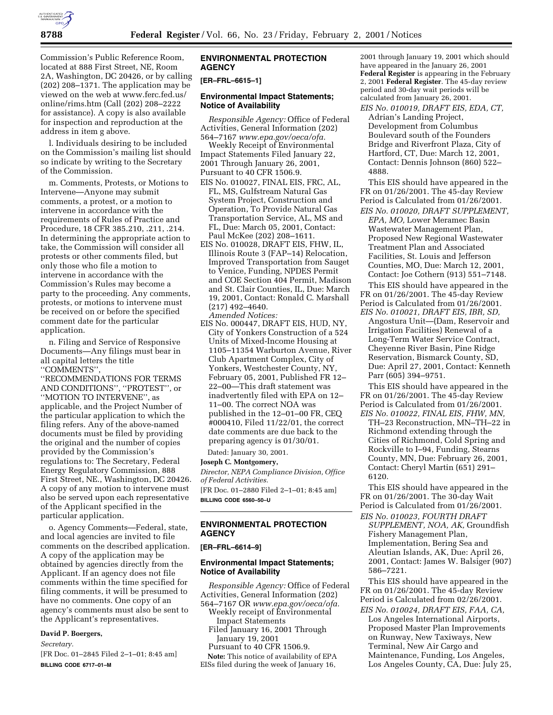

Commission's Public Reference Room, located at 888 First Street, NE, Room 2A, Washington, DC 20426, or by calling (202) 208–1371. The application may be viewed on the web at www.ferc.fed.us/ online/rims.htm (Call (202) 208–2222 for assistance). A copy is also available for inspection and reproduction at the address in item g above.

l. Individuals desiring to be included on the Commission's mailing list should so indicate by writing to the Secretary of the Commission.

m. Comments, Protests, or Motions to Intervene—Anyone may submit comments, a protest, or a motion to intervene in accordance with the requirements of Rules of Practice and Procedure, 18 CFR 385.210, .211, .214. In determining the appropriate action to take, the Commission will consider all protests or other comments filed, but only those who file a motion to intervene in accordance with the Commission's Rules may become a party to the proceeding. Any comments, protests, or motions to intervene must be received on or before the specified comment date for the particular application.

n. Filing and Service of Responsive Documents—Any filings must bear in all capital letters the title ''COMMENTS'',

''RECOMMENDATIONS FOR TERMS AND CONDITIONS'', ''PROTEST'', or ''MOTION TO INTERVENE'', as applicable, and the Project Number of the particular application to which the filing refers. Any of the above-named documents must be filed by providing the original and the number of copies provided by the Commission's regulations to: The Secretary, Federal Energy Regulatory Commission, 888 First Street, NE., Washington, DC 20426. A copy of any motion to intervene must also be served upon each representative of the Applicant specified in the particular application.

o. Agency Comments—Federal, state, and local agencies are invited to file comments on the described application. A copy of the application may be obtained by agencies directly from the Applicant. If an agency does not file comments within the time specified for filing comments, it will be presumed to have no comments. One copy of an agency's comments must also be sent to the Applicant's representatives.

#### **David P. Boergers,**

*Secretary.*

[FR Doc. 01–2845 Filed 2–1–01; 8:45 am] **BILLING CODE 6717–01–M**

## **ENVIRONMENTAL PROTECTION AGENCY**

# **[ER–FRL–6615–1]**

#### **Environmental Impact Statements; Notice of Availability**

*Responsible Agency:* Office of Federal Activities, General Information (202) 564–7167 *www.epa.gov/oeca/ofa.*

Weekly Receipt of Environmental Impact Statements Filed January 22, 2001 Through January 26, 2001, Pursuant to 40 CFR 1506.9.

- EIS No. 010027, FINAL EIS, FRC, AL, FL, MS, Gulfstream Natural Gas System Project, Construction and Operation, To Provide Natural Gas Transportation Service, AL, MS and FL, Due: March 05, 2001, Contact: Paul McKee (202) 208–1611.
- EIS No. 010028, DRAFT EIS, FHW, IL, Illinois Route 3 (FAP–14) Relocation, Improved Transportation from Sauget to Venice, Funding, NPDES Permit and COE Section 404 Permit, Madison and St. Clair Counties, IL, Due: March 19, 2001, Contact: Ronald C. Marshall (217) 492–4640. *Amended Notices:*
- EIS No. 000447, DRAFT EIS, HUD, NY, City of Yonkers Construction of a 524 Units of Mixed-Income Housing at 1105–11354 Warburton Avenue, River Club Apartment Complex, City of Yonkers, Westchester County, NY, February 05, 2001, Published FR 12– 22–00—This draft statement was inadvertently filed with EPA on 12– 11–00. The correct NOA was published in the 12–01–00 FR, CEQ #000410, Filed 11/22/01, the correct date comments are due back to the preparing agency is 01/30/01.

Dated: January 30, 2001.

# **Joseph C. Montgomery,**

*Director, NEPA Compliance Division, Office of Federal Activities.* [FR Doc. 01–2880 Filed 2–1–01; 8:45 am]

**BILLING CODE 6560–50–U**

# **ENVIRONMENTAL PROTECTION AGENCY**

#### **[ER–FRL–6614–9]**

# **Environmental Impact Statements; Notice of Availability**

*Responsible Agency:* Office of Federal Activities, General Information (202) 564–7167 OR *www.epa.gov/oeca/ofa.* Weekly receipt of Environmental

- Impact Statements
- Filed January 16, 2001 Through January 19, 2001
- Pursuant to 40 CFR 1506.9.

**Note:** This notice of availability of EPA EISs filed during the week of January 16,

2001 through January 19, 2001 which should have appeared in the January 26, 2001 **Federal Register** is appearing in the February 2, 2001 **Federal Register**. The 45-day review period and 30-day wait periods will be calculated from January 26, 2001.

*EIS No. 010019, DRAFT EIS, EDA, CT,* Adrian's Landing Project, Development from Columbus Boulevard south of the Founders Bridge and Riverfront Plaza, City of Hartford, CT, Due: March 12, 2001, Contact: Dennis Johnson (860) 522– 4888.

This EIS should have appeared in the FR on 01/26/2001. The 45-day Review Period is Calculated from 01/26/2001.

*EIS No. 010020, DRAFT SUPPLEMENT, EPA, MO,* Lower Meramec Basin Wastewater Management Plan, Proposed New Regional Wastewater Treatment Plan and Associated Facilities, St. Louis and Jefferson Counties, MO, Due: March 12, 2001, Contact: Joe Cothern (913) 551–7148.

This EIS should have appeared in the FR on 01/26/2001. The 45-day Review Period is Calculated from 01/26/2001. *EIS No. 010021, DRAFT EIS, IBR, SD,*

Angostura Unit—(Dam, Reservoir and Irrigation Facilities) Renewal of a Long-Term Water Service Contract, Cheyenne River Basin, Pine Ridge Reservation, Bismarck County, SD, Due: April 27, 2001, Contact: Kenneth Parr (605) 394–9751.

This EIS should have appeared in the FR on 01/26/2001. The 45-day Review Period is Calculated from 01/26/2001.

*EIS No. 010022, FINAL EIS, FHW, MN,* TH–23 Reconstruction, MN–TH–22 in Richmond extending through the Cities of Richmond, Cold Spring and Rockville to I–94, Funding, Stearns County, MN, Due: February 26, 2001, Contact: Cheryl Martin (651) 291– 6120.

This EIS should have appeared in the FR on 01/26/2001. The 30-day Wait Period is Calculated from 01/26/2001.

*EIS No. 010023, FOURTH DRAFT SUPPLEMENT, NOA, AK,* Groundfish Fishery Management Plan, Implementation, Bering Sea and Aleutian Islands, AK, Due: April 26, 2001, Contact: James W. Balsiger (907) 586–7221.

This EIS should have appeared in the FR on 01/26/2001. The 45-day Review Period is Calculated from 02/26/2001.

*EIS No. 010024, DRAFT EIS, FAA, CA,* Los Angeles International Airports, Proposed Master Plan Improvements on Runway, New Taxiways, New Terminal, New Air Cargo and Maintenance, Funding, Los Angeles, Los Angeles County, CA, Due: July 25,